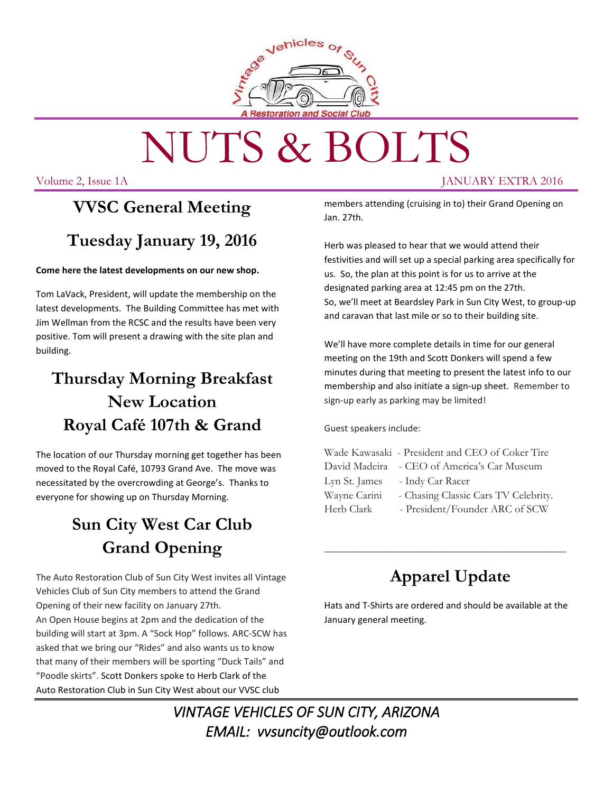

# NUTS & BOLTS

Volume 2, Issue 1A JANUARY EXTRA 2016

## **VVSC General Meeting Tuesday January 19, 2016**

#### **Come here the latest developments on our new shop.**

Tom LaVack, President, will update the membership on the latest developments. The Building Committee has met with Jim Wellman from the RCSC and the results have been very positive. Tom will present a drawing with the site plan and building.

## **Thursday Morning Breakfast New Location Royal Café 107th & Grand**

The location of our Thursday morning get together has been moved to the Royal Café, 10793 Grand Ave. The move was necessitated by the overcrowding at George's. Thanks to everyone for showing up on Thursday Morning.

## **Sun City West Car Club Grand Opening**

The Auto Restoration Club of Sun City West invites all Vintage Vehicles Club of Sun City members to attend the Grand Opening of their new facility on January 27th. An Open House begins at 2pm and the dedication of the building will start at 3pm. A "Sock Hop" follows. ARC-SCW has asked that we bring our "Rides" and also wants us to know that many of their members will be sporting "Duck Tails" and "Poodle skirts". Scott Donkers spoke to Herb Clark of the Auto Restoration Club in Sun City West about our VVSC club

members attending (cruising in to) their Grand Opening on Jan. 27th.

Herb was pleased to hear that we would attend their festivities and will set up a special parking area specifically for us. So, the plan at this point is for us to arrive at the designated parking area at 12:45 pm on the 27th. So, we'll meet at Beardsley Park in Sun City West, to group-up and caravan that last mile or so to their building site.

We'll have more complete details in time for our general meeting on the 19th and Scott Donkers will spend a few minutes during that meeting to present the latest info to our membership and also initiate a sign-up sheet. Remember to sign-up early as parking may be limited!

Guest speakers include:

|               | Wade Kawasaki - President and CEO of Coker Tire |
|---------------|-------------------------------------------------|
|               | David Madeira - CEO of America's Car Museum     |
| Lyn St. James | - Indy Car Racer                                |
| Wayne Carini  | - Chasing Classic Cars TV Celebrity.            |
| Herb Clark    | - President/Founder ARC of SCW                  |
|               |                                                 |

## **Apparel Update**

\_\_\_\_\_\_\_\_\_\_\_\_\_\_\_\_\_\_\_\_\_\_\_\_\_\_\_\_\_\_\_\_\_\_\_\_\_\_\_\_\_\_\_\_

Hats and T-Shirts are ordered and should be available at the January general meeting.

*VINTAGE VEHICLES OF SUN CITY, ARIZONA EMAIL: vvsuncity@outlook.com*